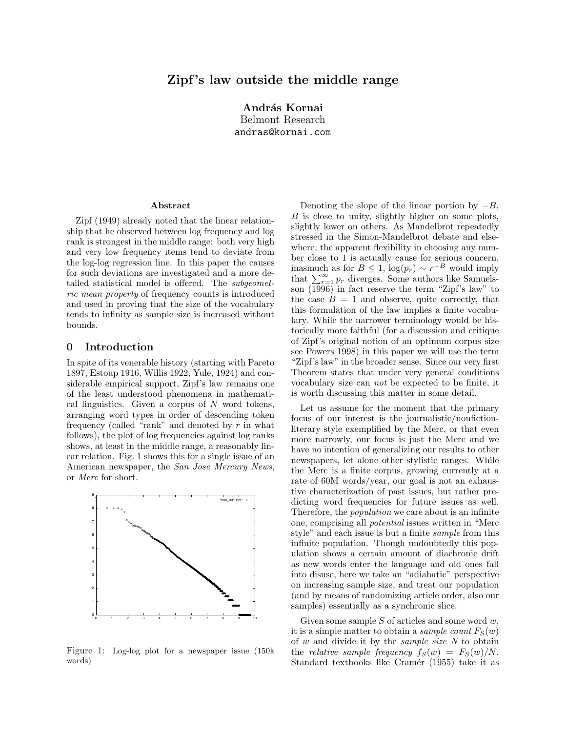# Zipf's law outside the middle range

András Kornai Belmont Research andras@kornai.com

#### Abstract

Zipf (1949) already noted that the linear relationship that he observed between log frequency and log rank is strongest in the middle range: both very high and very low frequency items tend to deviate from the log-log regression line. In this paper the causes for such deviations are investigated and a more detailed statistical model is offered. The subgeometric mean property of frequency counts is introduced and used in proving that the size of the vocabulary tends to infinity as sample size is increased without bounds.

### 0 Introduction

In spite of its venerable history (starting with Pareto 1897, Estoup 1916, Willis 1922, Yule, 1924) and considerable empirical support, Zipf's law remains one of the least understood phenomena in mathematical linguistics. Given a corpus of  $N$  word tokens, arranging word types in order of descending token frequency (called "rank" and denoted by  $r$  in what follows), the plot of log frequencies against log ranks shows, at least in the middle range, a reasonably linear relation. Fig. 1 shows this for a single issue of an American newspaper, the San Jose Mercury News, or Merc for short.



Figure 1: Log-log plot for a newspaper issue (150k words)

Denoting the slope of the linear portion by  $-B$ , B is close to unity, slightly higher on some plots, slightly lower on others. As Mandelbrot repeatedly stressed in the Simon-Mandelbrot debate and elsewhere, the apparent flexibility in choosing any number close to 1 is actually cause for serious concern, inasmuch as for  $B \leq 1$ ,  $\log(p_r) \sim r^{-B}$  would imply that  $\sum_{r=1}^{\infty} p_r$  diverges. Some authors like Samuelsson  $\left(\overline{1996}\right)$  in fact reserve the term "Zipf's law" to the case  $B = 1$  and observe, quite correctly, that this formulation of the law implies a finite vocabulary. While the narrower terminology would be historically more faithful (for a discussion and critique of Zipf's original notion of an optimum corpus size see Powers 1998) in this paper we will use the term "Zipf's law" in the broader sense. Since our very first Theorem states that under very general conditions vocabulary size can not be expected to be finite, it is worth discussing this matter in some detail.

Let us assume for the moment that the primary focus of our interest is the journalistic/nonfictionliterary style exemplified by the Merc, or that even more narrowly, our focus is just the Merc and we have no intention of generalizing our results to other newspapers, let alone other stylistic ranges. While the Merc is a finite corpus, growing currently at a rate of 60M words/year, our goal is not an exhaustive characterization of past issues, but rather predicting word frequencies for future issues as well. Therefore, the population we care about is an infinite one, comprising all potential issues written in "Merc style" and each issue is but a finite sample from this infinite population. Though undoubtedly this population shows a certain amount of diachronic drift as new words enter the language and old ones fall into disuse, here we take an "adiabatic" perspective on increasing sample size, and treat our population (and by means of randomizing article order, also our samples) essentially as a synchronic slice.

Given some sample  $S$  of articles and some word  $w$ , it is a simple matter to obtain a *sample count*  $F_S(w)$ of  $w$  and divide it by the *sample size*  $N$  to obtain the relative sample frequency  $f_S(w) = F_S(w)/N$ . Standard textbooks like Cramér (1955) take it as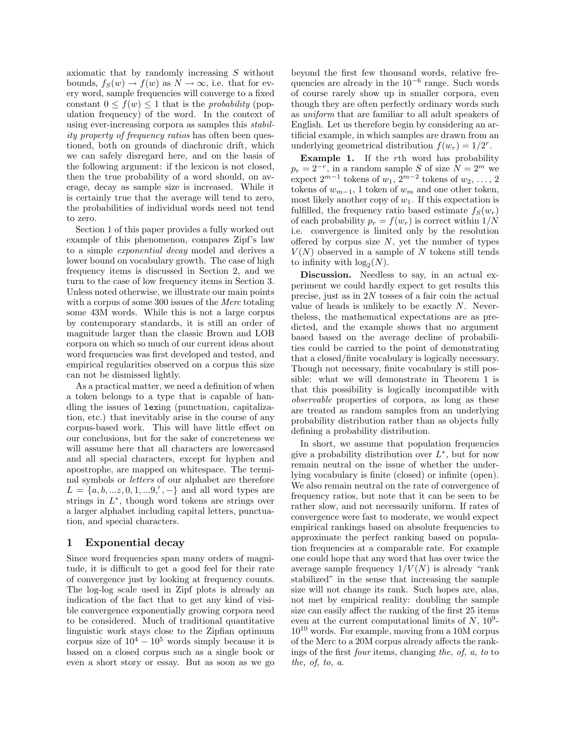axiomatic that by randomly increasing S without bounds,  $f_S(w) \to f(w)$  as  $N \to \infty$ , i.e. that for every word, sample frequencies will converge to a fixed constant  $0 \leq f(w) \leq 1$  that is the *probability* (population frequency) of the word. In the context of using ever-increasing corpora as samples this stability property of frequency ratios has often been questioned, both on grounds of diachronic drift, which we can safely disregard here, and on the basis of the following argument: if the lexicon is not closed, then the true probability of a word should, on average, decay as sample size is increased. While it is certainly true that the average will tend to zero, the probabilities of individual words need not tend to zero.

Section 1 of this paper provides a fully worked out example of this phenomenon, compares Zipf's law to a simple exponential decay model and derives a lower bound on vocabulary growth. The case of high frequency items is discussed in Section 2, and we turn to the case of low frequency items in Section 3. Unless noted otherwise, we illustrate our main points with a corpus of some 300 issues of the *Merc* totaling some 43M words. While this is not a large corpus by contemporary standards, it is still an order of magnitude larger than the classic Brown and LOB corpora on which so much of our current ideas about word frequencies was first developed and tested, and empirical regularities observed on a corpus this size can not be dismissed lightly.

As a practical matter, we need a definition of when a token belongs to a type that is capable of handling the issues of lexing (punctuation, capitalization, etc.) that inevitably arise in the course of any corpus-based work. This will have little effect on our conclusions, but for the sake of concreteness we will assume here that all characters are lowercased and all special characters, except for hyphen and apostrophe, are mapped on whitespace. The terminal symbols or letters of our alphabet are therefore  $L = \{a, b, ...z, 0, 1, ...9, ', -\}$  and all word types are strings in  $L^*$ , though word tokens are strings over a larger alphabet including capital letters, punctuation, and special characters.

### 1 Exponential decay

Since word frequencies span many orders of magnitude, it is difficult to get a good feel for their rate of convergence just by looking at frequency counts. The log-log scale used in Zipf plots is already an indication of the fact that to get any kind of visible convergence exponentially growing corpora need to be considered. Much of traditional quantitative linguistic work stays close to the Zipfian optimum corpus size of  $10^4 - 10^5$  words simply because it is based on a closed corpus such as a single book or even a short story or essay. But as soon as we go beyond the first few thousand words, relative frequencies are already in the  $10^{-6}$  range. Such words of course rarely show up in smaller corpora, even though they are often perfectly ordinary words such as uniform that are familiar to all adult speakers of English. Let us therefore begin by considering an artificial example, in which samples are drawn from an underlying geometrical distribution  $f(w_r) = 1/2^r$ .

Example 1. If the rth word has probability  $p_r = 2^{-r}$ , in a random sample S of size  $N = 2^m$  we expect  $2^{m-1}$  tokens of  $w_1, 2^{m-2}$  tokens of  $w_2, \ldots, 2$ tokens of  $w_{m-1}$ , 1 token of  $w_m$  and one other token, most likely another copy of  $w_1$ . If this expectation is fulfilled, the frequency ratio based estimate  $f_S(w_r)$ of each probability  $p_r = f(w_r)$  is correct within  $1/N$ i.e. convergence is limited only by the resolution offered by corpus size  $N$ , yet the number of types  $V(N)$  observed in a sample of N tokens still tends to infinity with  $\log_2(N)$ .

Discussion. Needless to say, in an actual experiment we could hardly expect to get results this precise, just as in 2N tosses of a fair coin the actual value of heads is unlikely to be exactly  $N$ . Nevertheless, the mathematical expectations are as predicted, and the example shows that no argument based based on the average decline of probabilities could be carried to the point of demonstrating that a closed/finite vocabulary is logically necessary. Though not necessary, finite vocabulary is still possible: what we will demonstrate in Theorem 1 is that this possibility is logically incompatible with observable properties of corpora, as long as these are treated as random samples from an underlying probability distribution rather than as objects fully defining a probability distribution.

In short, we assume that population frequencies give a probability distribution over  $L^*$ , but for now remain neutral on the issue of whether the underlying vocabulary is finite (closed) or infinite (open). We also remain neutral on the rate of convergence of frequency ratios, but note that it can be seen to be rather slow, and not necessarily uniform. If rates of convergence were fast to moderate, we would expect empirical rankings based on absolute frequencies to approximate the perfect ranking based on population frequencies at a comparable rate. For example one could hope that any word that has over twice the average sample frequency  $1/V(N)$  is already "rank" stabilized" in the sense that increasing the sample size will not change its rank. Such hopes are, alas, not met by empirical reality: doubling the sample size can easily affect the ranking of the first 25 items even at the current computational limits of  $N$ ,  $10^9$ - $10^{10}$  words. For example, moving from a 10M corpus of the Merc to a 20M corpus already affects the rankings of the first four items, changing the, of, a, to to the, of, to, a.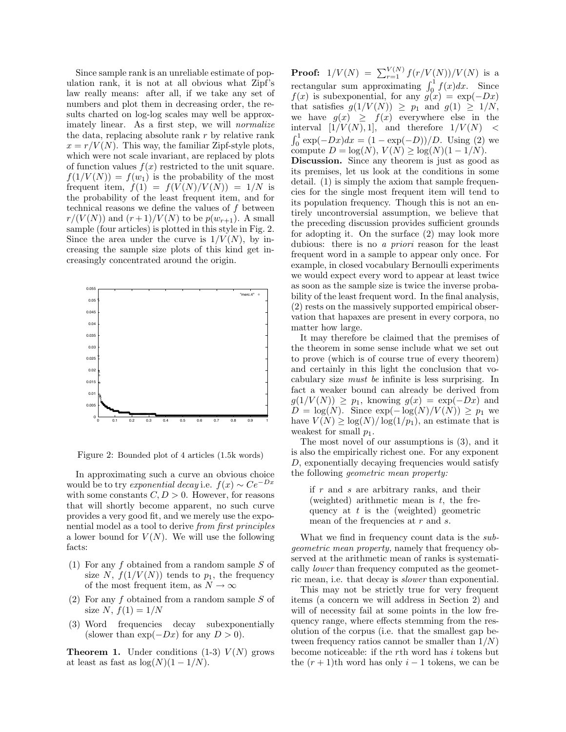Since sample rank is an unreliable estimate of population rank, it is not at all obvious what Zipf's law really means: after all, if we take any set of numbers and plot them in decreasing order, the results charted on log-log scales may well be approximately linear. As a first step, we will *normalize* the data, replacing absolute rank  $r$  by relative rank  $x = r/V(N)$ . This way, the familiar Zipf-style plots, which were not scale invariant, are replaced by plots of function values  $f(x)$  restricted to the unit square.  $f(1/V(N)) = f(w_1)$  is the probability of the most frequent item,  $f(1) = f(V(N)/V(N)) = 1/N$  is the probability of the least frequent item, and for technical reasons we define the values of  $f$  between  $r/(V(N))$  and  $(r+1)/V(N)$  to be  $p(w_{r+1})$ . A small sample (four articles) is plotted in this style in Fig. 2. Since the area under the curve is  $1/V(N)$ , by increasing the sample size plots of this kind get increasingly concentrated around the origin.



Figure 2: Bounded plot of 4 articles (1.5k words)

In approximating such a curve an obvious choice would be to try *exponential decay* i.e.  $f(x) \sim Ce^{-Dx}$ with some constants  $C, D > 0$ . However, for reasons that will shortly become apparent, no such curve provides a very good fit, and we merely use the exponential model as a tool to derive from first principles a lower bound for  $V(N)$ . We will use the following facts:

- (1) For any f obtained from a random sample S of size N,  $f(1/V(N))$  tends to  $p_1$ , the frequency of the most frequent item, as  $N \to \infty$
- (2) For any  $f$  obtained from a random sample  $S$  of size N,  $f(1) = 1/N$
- (3) Word frequencies decay subexponentially (slower than  $\exp(-Dx)$  for any  $D > 0$ ).

**Theorem 1.** Under conditions  $(1-3)$   $V(N)$  grows at least as fast as  $\log(N)(1-1/N)$ .

**Proof:**  $1/V(N) = \sum_{r=1}^{V(N)} f(r/V(N))/V(N)$  is a rectangular sum approximating  $\int_0^1 f(x) dx$ . Since  $f(x)$  is subexponential, for any  $g(x) = \exp(-Dx)$ that satisfies  $g(1/V(N)) \geq p_1$  and  $g(1) \geq 1/N$ , we have  $g(x) \geq f(x)$  everywhere else in the interval  $[1/V(N), 1]$ , and therefore  $1/V(N)$  <  $\int_0^1 \exp(-Dx)dx = (1 - \exp(-D))/D$ . Using (2) we compute  $D = \log(N)$ ,  $V(N) \geq \log(N)(1 - 1/N)$ .

Discussion. Since any theorem is just as good as its premises, let us look at the conditions in some detail. (1) is simply the axiom that sample frequencies for the single most frequent item will tend to its population frequency. Though this is not an entirely uncontroversial assumption, we believe that the preceding discussion provides sufficient grounds for adopting it. On the surface (2) may look more dubious: there is no a priori reason for the least frequent word in a sample to appear only once. For example, in closed vocabulary Bernoulli experiments we would expect every word to appear at least twice as soon as the sample size is twice the inverse probability of the least frequent word. In the final analysis, (2) rests on the massively supported empirical observation that hapaxes are present in every corpora, no matter how large.

It may therefore be claimed that the premises of the theorem in some sense include what we set out to prove (which is of course true of every theorem) and certainly in this light the conclusion that vocabulary size must be infinite is less surprising. In fact a weaker bound can already be derived from  $g(1/V(N)) \geq p_1$ , knowing  $g(x) = \exp(-Dx)$  and  $D = \log(N)$ . Since  $\exp(-\log(N)/V(N)) \geq p_1$  we have  $V(N) \geq \log(N)/\log(1/p_1)$ , an estimate that is weakest for small  $p_1$ .

The most novel of our assumptions is (3), and it is also the empirically richest one. For any exponent D, exponentially decaying frequencies would satisfy the following geometric mean property:

if r and s are arbitrary ranks, and their (weighted) arithmetic mean is  $t$ , the frequency at  $t$  is the (weighted) geometric mean of the frequencies at r and s.

What we find in frequency count data is the subgeometric mean property, namely that frequency observed at the arithmetic mean of ranks is systematically lower than frequency computed as the geometric mean, i.e. that decay is slower than exponential.

This may not be strictly true for very frequent items (a concern we will address in Section 2) and will of necessity fail at some points in the low frequency range, where effects stemming from the resolution of the corpus (i.e. that the smallest gap between frequency ratios cannot be smaller than  $1/N$ ) become noticeable: if the rth word has  $i$  tokens but the  $(r + 1)$ th word has only  $i - 1$  tokens, we can be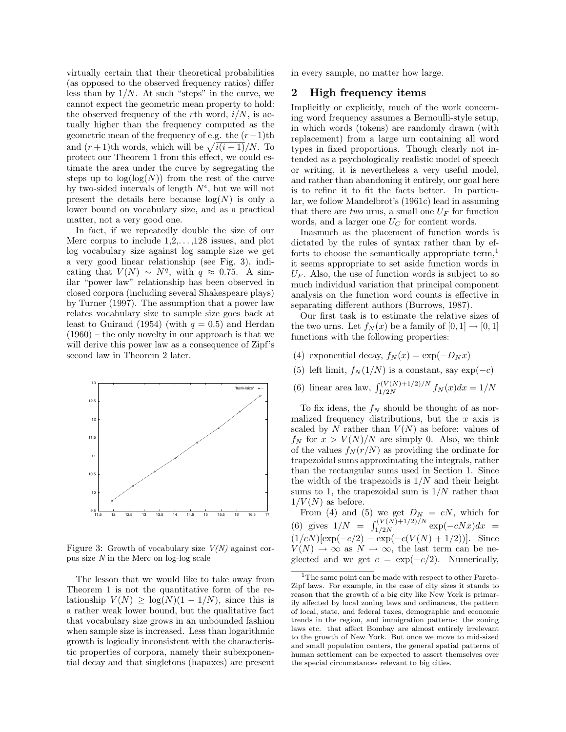virtually certain that their theoretical probabilities (as opposed to the observed frequency ratios) differ less than by  $1/N$ . At such "steps" in the curve, we cannot expect the geometric mean property to hold: the observed frequency of the rth word,  $i/N$ , is actually higher than the frequency computed as the geometric mean of the frequency of e.g. the  $(r-1)$ th and  $(r+1)$ th words, which will be  $\sqrt{i(i-1)}/N$ . To protect our Theorem 1 from this effect, we could estimate the area under the curve by segregating the steps up to  $\log(\log(N))$  from the rest of the curve by two-sided intervals of length  $N^{\epsilon}$ , but we will not present the details here because  $log(N)$  is only a lower bound on vocabulary size, and as a practical matter, not a very good one.

In fact, if we repeatedly double the size of our Merc corpus to include 1,2,. . . ,128 issues, and plot log vocabulary size against log sample size we get a very good linear relationship (see Fig. 3), indicating that  $V(N) \sim N^q$ , with  $q \approx 0.75$ . A similar "power law" relationship has been observed in closed corpora (including several Shakespeare plays) by Turner (1997). The assumption that a power law relates vocabulary size to sample size goes back at least to Guiraud (1954) (with  $q = 0.5$ ) and Herdan (1960) – the only novelty in our approach is that we will derive this power law as a consequence of Zipf's second law in Theorem 2 later.



Figure 3: Growth of vocabulary size  $V(N)$  against corpus size N in the Merc on log-log scale

The lesson that we would like to take away from Theorem 1 is not the quantitative form of the relationship  $V(N) \geq \log(N)(1 - 1/N)$ , since this is a rather weak lower bound, but the qualitative fact that vocabulary size grows in an unbounded fashion when sample size is increased. Less than logarithmic growth is logically inconsistent with the characteristic properties of corpora, namely their subexponential decay and that singletons (hapaxes) are present in every sample, no matter how large.

### 2 High frequency items

Implicitly or explicitly, much of the work concerning word frequency assumes a Bernoulli-style setup, in which words (tokens) are randomly drawn (with replacement) from a large urn containing all word types in fixed proportions. Though clearly not intended as a psychologically realistic model of speech or writing, it is nevertheless a very useful model, and rather than abandoning it entirely, our goal here is to refine it to fit the facts better. In particular, we follow Mandelbrot's (1961c) lead in assuming that there are two urns, a small one  $U_F$  for function words, and a larger one  $U_C$  for content words.

Inasmuch as the placement of function words is dictated by the rules of syntax rather than by efforts to choose the semantically appropriate term,<sup>1</sup> it seems appropriate to set aside function words in  $U_F$ . Also, the use of function words is subject to so much individual variation that principal component analysis on the function word counts is effective in separating different authors (Burrows, 1987).

Our first task is to estimate the relative sizes of the two urns. Let  $f_N(x)$  be a family of  $[0, 1] \rightarrow [0, 1]$ functions with the following properties:

- (4) exponential decay,  $f_N(x) = \exp(-D_N x)$
- (5) left limit,  $f_N(1/N)$  is a constant, say  $\exp(-c)$
- (6) linear area law,  $\int_{1/2N}^{(V(N)+1/2)/N} f_N(x) dx = 1/N$

To fix ideas, the  $f_N$  should be thought of as normalized frequency distributions, but the  $x$  axis is scaled by N rather than  $V(N)$  as before: values of  $f_N$  for  $x > V(N)/N$  are simply 0. Also, we think of the values  $f_N(r/N)$  as providing the ordinate for trapezoidal sums approximating the integrals, rather than the rectangular sums used in Section 1. Since the width of the trapezoids is  $1/N$  and their height sums to 1, the trapezoidal sum is  $1/N$  rather than  $1/V(N)$  as before.

From (4) and (5) we get  $D_N = cN$ , which for (6) gives  $1/N = \int_{1/2N}^{(V(N)+1/2)/N} \exp(-cNx)dx =$  $(1/cN)[\exp(-c/2) - \exp(-c(V(N) + 1/2))]$ . Since  $V(N) \rightarrow \infty$  as  $N \rightarrow \infty$ , the last term can be neglected and we get  $c = \exp(-c/2)$ . Numerically,

<sup>&</sup>lt;sup>1</sup>The same point can be made with respect to other Pareto-Zipf laws. For example, in the case of city sizes it stands to reason that the growth of a big city like New York is primarily affected by local zoning laws and ordinances, the pattern of local, state, and federal taxes, demographic and economic trends in the region, and immigration patterns: the zoning laws etc. that affect Bombay are almost entirely irrelevant to the growth of New York. But once we move to mid-sized and small population centers, the general spatial patterns of human settlement can be expected to assert themselves over the special circumstances relevant to big cities.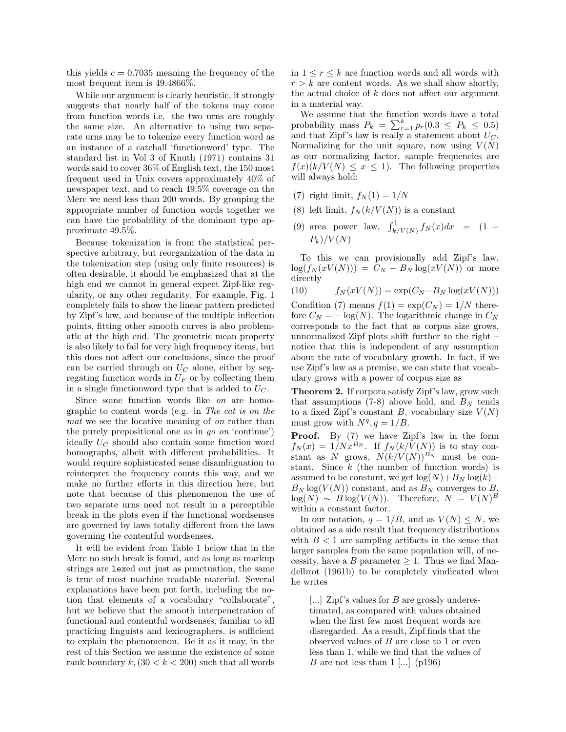this yields  $c = 0.7035$  meaning the frequency of the most frequent item is 49.4866%.

While our argument is clearly heuristic, it strongly suggests that nearly half of the tokens may come from function words i.e. the two urns are roughly the same size. An alternative to using two separate urns may be to tokenize every function word as an instance of a catchall 'functionword' type. The standard list in Vol 3 of Knuth (1971) contains 31 words said to cover 36% of English text, the 150 most frequent used in Unix covers approximately 40% of newspaper text, and to reach 49.5% coverage on the Merc we need less than 200 words. By grouping the appropriate number of function words together we can have the probability of the dominant type approximate 49.5%.

Because tokenization is from the statistical perspective arbitrary, but reorganization of the data in the tokenization step (using only finite resources) is often desirable, it should be emphasized that at the high end we cannot in general expect Zipf-like regularity, or any other regularity. For example, Fig. 1 completely fails to show the linear pattern predicted by Zipf's law, and because of the multiple inflection points, fitting other smooth curves is also problematic at the high end. The geometric mean property is also likely to fail for very high frequency items, but this does not affect our conclusions, since the proof can be carried through on  $U_C$  alone, either by segregating function words in  $U_F$  or by collecting them in a single functionword type that is added to  $U_C$ .

Since some function words like on are homographic to content words (e.g. in The cat is on the mat we see the locative meaning of on rather than the purely prepositional one as in go on 'continue') ideally  $U_C$  should also contain some function word homographs, albeit with different probabilities. It would require sophisticated sense disambiguation to reinterpret the frequency counts this way, and we make no further efforts in this direction here, but note that because of this phenomenon the use of two separate urns need not result in a perceptible break in the plots even if the functional wordsenses are governed by laws totally different from the laws governing the contentful wordsenses.

It will be evident from Table 1 below that in the Merc no such break is found, and as long as markup strings are lexed out just as punctuation, the same is true of most machine readable material. Several explanations have been put forth, including the notion that elements of a vocabulary "collaborate", but we believe that the smooth interpenetration of functional and contentful wordsenses, familiar to all practicing linguists and lexicographers, is sufficient to explain the phenomenon. Be it as it may, in the rest of this Section we assume the existence of some rank boundary  $k$ ,  $(30 < k < 200)$  such that all words in  $1 \leq r \leq k$  are function words and all words with  $r > k$  are content words. As we shall show shortly, the actual choice of  $k$  does not affect our argument in a material way.

We assume that the function words have a total probability mass  $P_k = \sum_{r=1}^k p_r (0.3 \le P_k \le 0.5)$ and that Zipf's law is really a statement about  $U_C$ . Normalizing for the unit square, now using  $V(N)$ as our normalizing factor, sample frequencies are  $f(x)(k/V(N) \leq x \leq 1)$ . The following properties will always hold:

- (7) right limit,  $f_N(1) = 1/N$
- (8) left limit,  $f_N(k/V(N))$  is a constant
- (9) area power law,  $\int_{k/V(N)}^1 f_N(x) dx = (1 P_k)/V(N)$

To this we can provisionally add Zipf's law,  $\log(f_N(xV(N))) = C_N - B_N \log(xV(N))$  or more directly

(10)  $f_N(xV(N)) = \exp(C_N - B_N \log(xV(N)))$ 

Condition (7) means  $f(1) = \exp(C_N) = 1/N$  therefore  $C_N = -\log(N)$ . The logarithmic change in  $C_N$ corresponds to the fact that as corpus size grows, unnormalized Zipf plots shift further to the right – notice that this is independent of any assumption about the rate of vocabulary growth. In fact, if we use Zipf's law as a premise, we can state that vocabulary grows with a power of corpus size as

Theorem 2. If corpora satisfy Zipf's law, grow such that assumptions (7-8) above hold, and  $B<sub>N</sub>$  tends to a fixed Zipf's constant B, vocabulary size  $V(N)$ must grow with  $N^q$ ,  $q = 1/B$ .

Proof. By (7) we have Zipf's law in the form  $f_N(x) = 1/Nx^{\hat{B}_N}$ . If  $f_N(k/\hat{V}(N))$  is to stay constant as N grows,  $N(k/V(N))^{B_N}$  must be constant. Since  $k$  (the number of function words) is assumed to be constant, we get  $\log(N)+B_N \log(k) B_N \log(V(N))$  constant, and as  $B_N$  converges to B,  $\log(N) \sim B \log(V(N))$ . Therefore,  $N = V(N)^B$ within a constant factor.

In our notation,  $q = 1/B$ , and as  $V(N) \leq N$ , we obtained as a side result that frequency distributions with  $B < 1$  are sampling artifacts in the sense that larger samples from the same population will, of necessity, have a B parameter  $\geq 1$ . Thus we find Mandelbrot (1961b) to be completely vindicated when he writes

[...] Zipf's values for B are grossly underestimated, as compared with values obtained when the first few most frequent words are disregarded. As a result, Zipf finds that the observed values of  $B$  are close to 1 or even less than 1, while we find that the values of B are not less than  $1$  [...] (p196)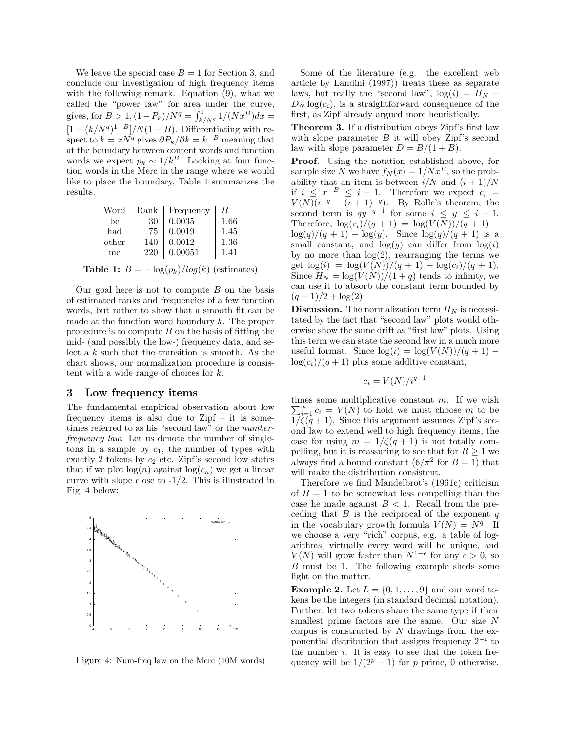We leave the special case  $B = 1$  for Section 3, and conclude our investigation of high frequency items with the following remark. Equation (9), what we called the "power law" for area under the curve, gives, for  $B > 1$ ,  $(1 - P_k)/N^q = \int_{k/N^q}^1 1/(Nx^B)dx =$  $[1 - (k/N<sup>q</sup>)<sup>1-B</sup>]/N(1 - B)$ . Differentiating with respect to  $k = xN^q$  gives  $\partial P_k/\partial k = k^{-B}$  meaning that at the boundary between content words and function words we expect  $p_k \sim 1/k^B$ . Looking at four function words in the Merc in the range where we would like to place the boundary, Table 1 summarizes the results.

| Word  | Rank | Frequency | В    |
|-------|------|-----------|------|
| be    | 30   | 0.0035    | 1.66 |
| had   | 75   | 0.0019    | 1.45 |
| other | 140  | 0.0012    | 1.36 |
| me    | 220  | 0.00051   | 141  |

Table 1:  $B = -\log(p_k)/log(k)$  (estimates)

Our goal here is not to compute  $B$  on the basis of estimated ranks and frequencies of a few function words, but rather to show that a smooth fit can be made at the function word boundary  $k$ . The proper procedure is to compute  $B$  on the basis of fitting the mid- (and possibly the low-) frequency data, and select a  $k$  such that the transition is smooth. As the chart shows, our normalization procedure is consistent with a wide range of choices for k.

### 3 Low frequency items

The fundamental empirical observation about low frequency items is also due to  $Zipf - it$  is sometimes referred to as his "second law" or the numberfrequency law. Let us denote the number of singletons in a sample by  $c_1$ , the number of types with exactly 2 tokens by  $c_2$  etc. Zipf's second low states that if we plot  $log(n)$  against  $log(c_n)$  we get a linear curve with slope close to  $-1/2$ . This is illustrated in Fig. 4 below:



Figure 4: Num-freq law on the Merc (10M words)

Some of the literature (e.g. the excellent web article by Landini (1997)) treats these as separate laws, but really the "second law",  $log(i) = H_N D_N \log(c_i)$ , is a straightforward consequence of the first, as Zipf already argued more heuristically.

Theorem 3. If a distribution obeys Zipf's first law with slope parameter  $B$  it will obey Zipf's second law with slope parameter  $D = B/(1 + B)$ .

Proof. Using the notation established above, for sample size N we have  $f_N(x) = 1/Nx^B$ , so the probability that an item is between  $i/N$  and  $(i + 1)/N$ if  $i \leq x^{-B} \leq i+1$ . Therefore we expect  $c_i =$  $V(N)(i^{-q} - (i+1)^{-q})$ . By Rolle's theorem, the second term is  $qy^{-q-1}$  for some  $i \leq y \leq i+1$ . Therefore,  $\log(c_i)/(q+1) = \log(V(N))/(q+1)$  –  $\log(q)/(q + 1) - \log(y)$ . Since  $\log(q)/(q + 1)$  is a small constant, and  $log(y)$  can differ from  $log(i)$ by no more than  $log(2)$ , rearranging the terms we get  $\log(i) = \log(V(N))/(q+1) - \log(c_i)/(q+1)$ . Since  $H_N = \log(V(N))/(1+q)$  tends to infinity, we can use it to absorb the constant term bounded by  $(q-1)/2 + \log(2)$ .

**Discussion.** The normalization term  $H_N$  is necessitated by the fact that "second law" plots would otherwise show the same drift as "first law" plots. Using this term we can state the second law in a much more useful format. Since  $\log(i) = \log(V(N))/(q+1)$  –  $log(c_i)/(q+1)$  plus some additive constant,

$$
c_i = V(N)/i^{q+1}
$$

times some multiplicative constant m. If we wish  $\sum_{i=1}^{\infty} c_i = V(N)$  to hold we must choose m to be  $1/\zeta(q+1)$ . Since this argument assumes Zipf's second law to extend well to high frequency items, the case for using  $m = 1/\zeta(q + 1)$  is not totally compelling, but it is reassuring to see that for  $B \ge 1$  we always find a bound constant  $(6/\pi^2 \text{ for } B = 1)$  that will make the distribution consistent.

Therefore we find Mandelbrot's (1961c) criticism of  $B = 1$  to be somewhat less compelling than the case he made against  $B < 1$ . Recall from the preceding that  $B$  is the reciprocal of the exponent  $q$ in the vocabulary growth formula  $V(N) = N<sup>q</sup>$ . If we choose a very "rich" corpus, e.g. a table of logarithms, virtually every word will be unique, and  $V(N)$  will grow faster than  $N^{1-\epsilon}$  for any  $\epsilon > 0$ , so B must be 1. The following example sheds some light on the matter.

**Example 2.** Let  $L = \{0, 1, \ldots, 9\}$  and our word tokens be the integers (in standard decimal notation). Further, let two tokens share the same type if their smallest prime factors are the same. Our size N corpus is constructed by  $N$  drawings from the exponential distribution that assigns frequency  $2^{-i}$  to the number  $i$ . It is easy to see that the token frequency will be  $1/(2^p - 1)$  for p prime, 0 otherwise.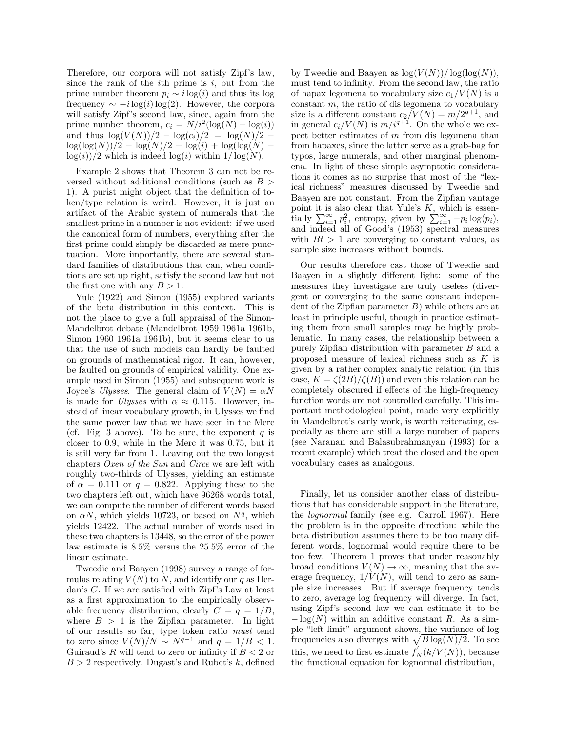Therefore, our corpora will not satisfy Zipf's law, since the rank of the *i*th prime is  $i$ , but from the prime number theorem  $p_i \sim i \log(i)$  and thus its log frequency  $\sim -i \log(i) \log(2)$ . However, the corpora will satisfy Zipf's second law, since, again from the prime number theorem,  $c_i = N/i^2(\log(N) - \log(i))$ and thus  $\log(V(N))/2 - \log(c_i)/2 = \log(N)/2 \log(\log(N))/2 - \log(N)/2 + \log(i) + \log(\log(N)$  $log(i)/2$  which is indeed  $log(i)$  within  $1/\log(N)$ .

Example 2 shows that Theorem 3 can not be reversed without additional conditions (such as  $B >$ 1). A purist might object that the definition of token/type relation is weird. However, it is just an artifact of the Arabic system of numerals that the smallest prime in a number is not evident: if we used the canonical form of numbers, everything after the first prime could simply be discarded as mere punctuation. More importantly, there are several standard families of distributions that can, when conditions are set up right, satisfy the second law but not the first one with any  $B > 1$ .

Yule (1922) and Simon (1955) explored variants of the beta distribution in this context. This is not the place to give a full appraisal of the Simon-Mandelbrot debate (Mandelbrot 1959 1961a 1961b, Simon 1960 1961a 1961b), but it seems clear to us that the use of such models can hardly be faulted on grounds of mathematical rigor. It can, however, be faulted on grounds of empirical validity. One example used in Simon (1955) and subsequent work is Joyce's Ulysses. The general claim of  $V(N) = \alpha N$ is made for *Ulysses* with  $\alpha \approx 0.115$ . However, instead of linear vocabulary growth, in Ulysses we find the same power law that we have seen in the Merc (cf. Fig. 3 above). To be sure, the exponent  $q$  is closer to 0.9, while in the Merc it was 0.75, but it is still very far from 1. Leaving out the two longest chapters Oxen of the Sun and Circe we are left with roughly two-thirds of Ulysses, yielding an estimate of  $\alpha = 0.111$  or  $q = 0.822$ . Applying these to the two chapters left out, which have 96268 words total, we can compute the number of different words based on  $\alpha N$ , which yields 10723, or based on  $N<sup>q</sup>$ , which yields 12422. The actual number of words used in these two chapters is 13448, so the error of the power law estimate is 8.5% versus the 25.5% error of the linear estimate.

Tweedie and Baayen (1998) survey a range of formulas relating  $V(N)$  to N, and identify our q as Herdan's C. If we are satisfied with Zipf's Law at least as a first approximation to the empirically observable frequency distribution, clearly  $C = q = 1/B$ , where  $B > 1$  is the Zipfian parameter. In light of our results so far, type token ratio must tend to zero since  $V(N)/N \sim N^{q-1}$  and  $q = 1/B < 1$ . Guiraud's R will tend to zero or infinity if  $B < 2$  or  $B > 2$  respectively. Dugast's and Rubet's k, defined

by Tweedie and Baayen as  $\log(V(N))/\log(\log(N)),$ must tend to infinity. From the second law, the ratio of hapax legomena to vocabulary size  $c_1/V(N)$  is a constant  $m$ , the ratio of dis legomena to vocabulary size is a different constant  $c_2/V(N) = m/2^{q+1}$ , and in general  $c_i/V(N)$  is  $m/i^{q+1}$ . On the whole we expect better estimates of  $m$  from dis legomena than from hapaxes, since the latter serve as a grab-bag for typos, large numerals, and other marginal phenomena. In light of these simple asymptotic considerations it comes as no surprise that most of the "lexical richness" measures discussed by Tweedie and Baayen are not constant. From the Zipfian vantage point it is also clear that Yule's  $K$ , which is essentially  $\sum_{i=1}^{\infty} p_i^2$ , entropy, given by  $\sum_{i=1}^{\infty} -p_i \log(p_i)$ , and indeed all of Good's (1953) spectral measures with  $Bt > 1$  are converging to constant values, as sample size increases without bounds.

Our results therefore cast those of Tweedie and Baayen in a slightly different light: some of the measures they investigate are truly useless (divergent or converging to the same constant independent of the Zipfian parameter  $B$ ) while others are at least in principle useful, though in practice estimating them from small samples may be highly problematic. In many cases, the relationship between a purely Zipfian distribution with parameter B and a proposed measure of lexical richness such as K is given by a rather complex analytic relation (in this case,  $K = \zeta(2B)/\zeta(B)$  and even this relation can be completely obscured if effects of the high-frequency function words are not controlled carefully. This important methodological point, made very explicitly in Mandelbrot's early work, is worth reiterating, especially as there are still a large number of papers (see Naranan and Balasubrahmanyan (1993) for a recent example) which treat the closed and the open vocabulary cases as analogous.

Finally, let us consider another class of distributions that has considerable support in the literature, the lognormal family (see e.g. Carroll 1967). Here the problem is in the opposite direction: while the beta distribution assumes there to be too many different words, lognormal would require there to be too few. Theorem 1 proves that under reasonably broad conditions  $V(N) \rightarrow \infty$ , meaning that the average frequency,  $1/V(N)$ , will tend to zero as sample size increases. But if average frequency tends to zero, average log frequency will diverge. In fact, using Zipf's second law we can estimate it to be  $-\log(N)$  within an additive constant R. As a simple "left limit" argument shows, the variance of log frequencies also diverges with  $\sqrt{B\log(N)/2}$ . To see this, we need to first estimate  $f'_{N}(k/V(N))$ , because the functional equation for lognormal distribution,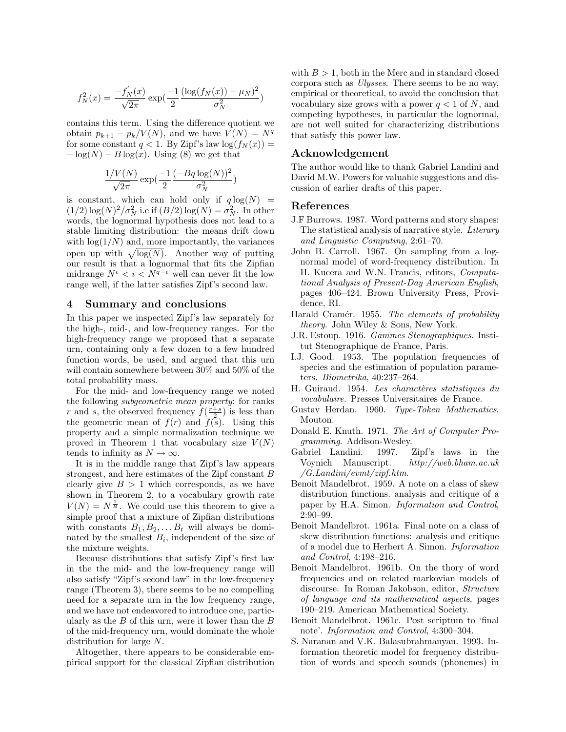$$
f_N^2(x) = \frac{-f'_N(x)}{\sqrt{2\pi}} \exp\left(\frac{-1}{2} \frac{(\log(f_N(x)) - \mu_N)^2}{\sigma_N^2}\right)
$$

contains this term. Using the difference quotient we obtain  $p_{k+1} - p_k/V(N)$ , and we have  $V(N) = N<sup>q</sup>$ for some constant  $q < 1$ . By Zipf's law  $log(f_N(x)) =$  $-\log(N) - B \log(x)$ . Using (8) we get that

$$
\frac{1/V(N)}{\sqrt{2\pi}}\exp(\frac{-1}{2}\frac{(-Bq\log(N))^2}{\sigma_N^2})
$$

is constant, which can hold only if  $q \log(N)$  =  $(1/2) \log(N)^2 / \sigma_N^2$  i.e if  $(B/2) \log(N) = \sigma_N^2$ . In other words, the lognormal hypothesis does not lead to a stable limiting distribution: the means drift down with  $\log(1/N)$  and, more importantly, the variances open up with  $\sqrt{\log(N)}$ . Another way of putting our result is that a lognormal that fits the Zipfian midrange  $N^{\epsilon} < i < N^{\bar{q}-\epsilon}$  well can never fit the low range well, if the latter satisfies Zipf's second law.

### 4 Summary and conclusions

In this paper we inspected Zipf's law separately for the high-, mid-, and low-frequency ranges. For the high-frequency range we proposed that a separate urn, containing only a few dozen to a few hundred function words, be used, and argued that this urn will contain somewhere between 30% and 50% of the total probability mass.

For the mid- and low-frequency range we noted the following subgeometric mean property: for ranks r and s, the observed frequency  $f(\frac{r+s}{2})$  is less than the geometric mean of  $f(r)$  and  $f(\overline{s})$ . Using this property and a simple normalization technique we proved in Theorem 1 that vocabulary size  $V(N)$ tends to infinity as  $N \to \infty$ .

It is in the middle range that Zipf's law appears strongest, and here estimates of the Zipf constant B clearly give  $B > 1$  which corresponds, as we have shown in Theorem 2, to a vocabulary growth rate  $V(N) = N^{\frac{1}{B}}$ . We could use this theorem to give a simple proof that a mixture of Zipfian distributions with constants  $B_1, B_2, \ldots B_t$  will always be dominated by the smallest  $B_i$ , independent of the size of the mixture weights.

Because distributions that satisfy Zipf's first law in the the mid- and the low-frequency range will also satisfy "Zipf's second law" in the low-frequency range (Theorem 3), there seems to be no compelling need for a separate urn in the low frequency range, and we have not endeavored to introduce one, particularly as the  $B$  of this urn, were it lower than the  $B$ of the mid-frequency urn, would dominate the whole distribution for large N.

Altogether, there appears to be considerable empirical support for the classical Zipfian distribution with  $B > 1$ , both in the Merc and in standard closed corpora such as Ulysses. There seems to be no way, empirical or theoretical, to avoid the conclusion that vocabulary size grows with a power  $q < 1$  of N, and competing hypotheses, in particular the lognormal, are not well suited for characterizing distributions that satisfy this power law.

## Acknowledgement

The author would like to thank Gabriel Landini and David M.W. Powers for valuable suggestions and discussion of earlier drafts of this paper.

#### References

- J.F Burrows. 1987. Word patterns and story shapes: The statistical analysis of narrative style. Literary and Linguistic Computing, 2:61–70.
- John B. Carroll. 1967. On sampling from a lognormal model of word-frequency distribution. In H. Kucera and W.N. Francis, editors, Computational Analysis of Present-Day American English, pages 406–424. Brown University Press, Providence, RI.
- Harald Cramér. 1955. The elements of probability theory. John Wiley & Sons, New York.
- J.R. Estoup. 1916. Gammes Stenographiques. Institut Stenographique de France, Paris.
- I.J. Good. 1953. The population frequencies of species and the estimation of population parameters. Biometrika, 40:237–264.
- H. Guiraud. 1954. Les charactères statistiques du vocabulaire. Presses Universitaires de France.
- Gustav Herdan. 1960. Type-Token Mathematics. Mouton.
- Donald E. Knuth. 1971. The Art of Computer Programming. Addison-Wesley.
- Gabriel Landini. 1997. Zipf's laws in the Voynich Manuscript. http://web.bham.ac.uk /G.Landini/evmt/zipf.htm.
- Benoit Mandelbrot. 1959. A note on a class of skew distribution functions. analysis and critique of a paper by H.A. Simon. Information and Control, 2:90–99.
- Benoit Mandelbrot. 1961a. Final note on a class of skew distribution functions: analysis and critique of a model due to Herbert A. Simon. Information and Control, 4:198–216.
- Benoit Mandelbrot. 1961b. On the thory of word frequencies and on related markovian models of discourse. In Roman Jakobson, editor, Structure of language and its mathematical aspects, pages 190–219. American Mathematical Society.
- Benoit Mandelbrot. 1961c. Post scriptum to 'final note'. Information and Control, 4:300–304.
- S. Naranan and V.K. Balasubrahmanyan. 1993. Information theoretic model for frequency distribution of words and speech sounds (phonemes) in